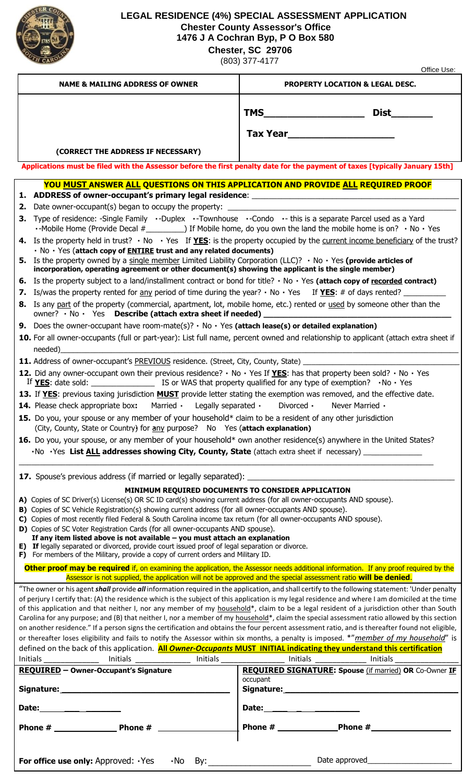

## **LEGAL RESIDENCE (4%) SPECIAL ASSESSMENT APPLICATION Chester County Assessor's Office 1476 J A Cochran Byp, P O Box 580**

|                                                                                                                                                                                                                                                                                                |                                                                                                                                                                                                                                                          | <b>Chester, SC 29706</b><br>(803) 377-4177 | Office Use:                                                   |  |  |
|------------------------------------------------------------------------------------------------------------------------------------------------------------------------------------------------------------------------------------------------------------------------------------------------|----------------------------------------------------------------------------------------------------------------------------------------------------------------------------------------------------------------------------------------------------------|--------------------------------------------|---------------------------------------------------------------|--|--|
|                                                                                                                                                                                                                                                                                                | <b>NAME &amp; MAILING ADDRESS OF OWNER</b>                                                                                                                                                                                                               |                                            | <b>PROPERTY LOCATION &amp; LEGAL DESC.</b>                    |  |  |
|                                                                                                                                                                                                                                                                                                |                                                                                                                                                                                                                                                          |                                            | Dist<br><b>TMS_________________________</b>                   |  |  |
|                                                                                                                                                                                                                                                                                                |                                                                                                                                                                                                                                                          |                                            |                                                               |  |  |
|                                                                                                                                                                                                                                                                                                | (CORRECT THE ADDRESS IF NECESSARY)                                                                                                                                                                                                                       |                                            |                                                               |  |  |
|                                                                                                                                                                                                                                                                                                | Applications must be filed with the Assessor before the first penalty date for the payment of taxes [typically January 15th]                                                                                                                             |                                            |                                                               |  |  |
|                                                                                                                                                                                                                                                                                                | YOU MUST ANSWER ALL QUESTIONS ON THIS APPLICATION AND PROVIDE ALL REQUIRED PROOF                                                                                                                                                                         |                                            |                                                               |  |  |
| 2.                                                                                                                                                                                                                                                                                             | Date owner-occupant(s) began to occupy the property: ___________________________                                                                                                                                                                         |                                            |                                                               |  |  |
|                                                                                                                                                                                                                                                                                                | 3. Type of residence: -Single Family .-Duplex .-Townhouse .-Condo .- this is a separate Parcel used as a Yard<br>$\cdot$ -Mobile Home (Provide Decal #________) If Mobile home, do you own the land the mobile home is on? $\cdot$ No $\cdot$ Yes        |                                            |                                                               |  |  |
|                                                                                                                                                                                                                                                                                                | 4. Is the property held in trust? $\cdot$ No $\cdot$ Yes If YES: is the property occupied by the current income beneficiary of the trust?<br>$\cdot$ No $\cdot$ Yes (attach copy of <b>ENTIRE</b> trust and any related documents)                       |                                            |                                                               |  |  |
|                                                                                                                                                                                                                                                                                                | 5. Is the property owned by a single member Limited Liability Corporation (LLC)? $\cdot$ No $\cdot$ Yes (provide articles of<br>incorporation, operating agreement or other document(s) showing the applicant is the single member)                      |                                            |                                                               |  |  |
|                                                                                                                                                                                                                                                                                                | 6. Is the property subject to a land/installment contract or bond for title? $\cdot$ No $\cdot$ Yes (attach copy of recorded contract)                                                                                                                   |                                            |                                                               |  |  |
|                                                                                                                                                                                                                                                                                                | 7. Is/was the property rented for <u>any</u> period of time during the year? $\cdot$ No $\cdot$ Yes If <b>YES</b> : # of days rented?                                                                                                                    |                                            |                                                               |  |  |
|                                                                                                                                                                                                                                                                                                | 8. Is any part of the property (commercial, apartment, lot, mobile home, etc.) rented or used by someone other than the                                                                                                                                  |                                            |                                                               |  |  |
|                                                                                                                                                                                                                                                                                                | 9. Does the owner-occupant have room-mate(s)? $\cdot$ No $\cdot$ Yes (attach lease(s) or detailed explanation)                                                                                                                                           |                                            |                                                               |  |  |
|                                                                                                                                                                                                                                                                                                | 10. For all owner-occupants (full or part-year): List full name, percent owned and relationship to applicant (attach extra sheet if<br>needed)                                                                                                           |                                            |                                                               |  |  |
|                                                                                                                                                                                                                                                                                                | 11. Address of owner-occupant's PREVIOUS residence. (Street, City, County, State) ____________________________                                                                                                                                           |                                            |                                                               |  |  |
|                                                                                                                                                                                                                                                                                                | 12. Did any owner-occupant own their previous residence? • No · Yes If YES: has that property been sold? • No · Yes<br>If <b>YES</b> : date sold: IS or WAS that property qualified for any type of exemption? $\cdot$ No $\cdot$ Yes                    |                                            |                                                               |  |  |
|                                                                                                                                                                                                                                                                                                | 13. If YES: previous taxing jurisdiction MUST provide letter stating the exemption was removed, and the effective date.                                                                                                                                  |                                            |                                                               |  |  |
|                                                                                                                                                                                                                                                                                                | Divorced •<br><b>14.</b> Please check appropriate box: Married Legally separated Distribution<br>Never Married .<br>15. Do you, your spouse or any member of your household* claim to be a resident of any other jurisdiction                            |                                            |                                                               |  |  |
|                                                                                                                                                                                                                                                                                                | (City, County, State or Country) for any purpose? No Yes (attach explanation)                                                                                                                                                                            |                                            |                                                               |  |  |
|                                                                                                                                                                                                                                                                                                | 16. Do you, your spouse, or any member of your household* own another residence(s) anywhere in the United States?<br>·No · Yes List ALL addresses showing City, County, State (attach extra sheet if necessary) ______________                           |                                            |                                                               |  |  |
|                                                                                                                                                                                                                                                                                                |                                                                                                                                                                                                                                                          |                                            |                                                               |  |  |
|                                                                                                                                                                                                                                                                                                | MINIMUM REQUIRED DOCUMENTS TO CONSIDER APPLICATION<br>A) Copies of SC Driver(s) License(s) OR SC ID card(s) showing current address (for all owner-occupants AND spouse).                                                                                |                                            |                                                               |  |  |
|                                                                                                                                                                                                                                                                                                | B) Copies of SC Vehicle Registration(s) showing current address (for all owner-occupants AND spouse).                                                                                                                                                    |                                            |                                                               |  |  |
|                                                                                                                                                                                                                                                                                                | C) Copies of most recently filed Federal & South Carolina income tax return (for all owner-occupants AND spouse).<br>D) Copies of SC Voter Registration Cards (for all owner-occupants AND spouse).                                                      |                                            |                                                               |  |  |
|                                                                                                                                                                                                                                                                                                | If any item listed above is not available $-$ you must attach an explanation<br>E) If legally separated or divorced, provide court issued proof of legal separation or divorce.                                                                          |                                            |                                                               |  |  |
|                                                                                                                                                                                                                                                                                                | F) For members of the Military, provide a copy of current orders and Military ID.                                                                                                                                                                        |                                            |                                                               |  |  |
|                                                                                                                                                                                                                                                                                                | Other proof may be required if, on examining the application, the Assessor needs additional information. If any proof required by the<br>Assessor is not supplied, the application will not be approved and the special assessment ratio will be denied. |                                            |                                                               |  |  |
|                                                                                                                                                                                                                                                                                                | "The owner or his agent <i>shall</i> provide <i>all</i> information required in the application, and shall certify to the following statement: 'Under penalty                                                                                            |                                            |                                                               |  |  |
| of perjury I certify that: (A) the residence which is the subject of this application is my legal residence and where I am domiciled at the time<br>of this application and that neither I, nor any member of my household*, claim to be a legal resident of a jurisdiction other than South   |                                                                                                                                                                                                                                                          |                                            |                                                               |  |  |
| Carolina for any purpose; and (B) that neither I, nor a member of my household*, claim the special assessment ratio allowed by this section<br>on another residence." If a person signs the certification and obtains the four percent assessment ratio, and is thereafter found not eligible, |                                                                                                                                                                                                                                                          |                                            |                                                               |  |  |
| or thereafter loses eligibility and fails to notify the Assessor within six months, a penalty is imposed. *"member of my household" is                                                                                                                                                         |                                                                                                                                                                                                                                                          |                                            |                                                               |  |  |
| defined on the back of this application. All Owner-Occupants MUST INITIAL indicating they understand this certification<br> nitials __________________ Initials ________________ Initials __________________ Initials ______________ Initials _                                                |                                                                                                                                                                                                                                                          |                                            |                                                               |  |  |
|                                                                                                                                                                                                                                                                                                | <b>REQUIRED - Owner-Occupant's Signature</b>                                                                                                                                                                                                             |                                            | <b>REQUIRED SIGNATURE: Spouse (if married) OR Co-Owner IF</b> |  |  |
| Signature: Note also a series of the series of the series of the series of the series of the series of the series of the series of the series of the series of the series of the series of the series of the series of the ser                                                                 |                                                                                                                                                                                                                                                          | occupant<br>Signature: Signature:          |                                                               |  |  |
|                                                                                                                                                                                                                                                                                                | Date:                                                                                                                                                                                                                                                    | Date:                                      |                                                               |  |  |
|                                                                                                                                                                                                                                                                                                | Phone # Phone #                                                                                                                                                                                                                                          |                                            | Phone # Phone #                                               |  |  |

| <b>For office use only:</b> Approved: Yes | .No By |  |
|-------------------------------------------|--------|--|
|-------------------------------------------|--------|--|

**For office use only:** Approved: Yes No By: \_\_\_\_\_\_\_\_\_\_\_\_\_\_\_\_\_\_\_\_\_\_ Date approved\_\_\_\_\_\_\_\_\_\_\_\_\_\_\_\_\_\_\_\_